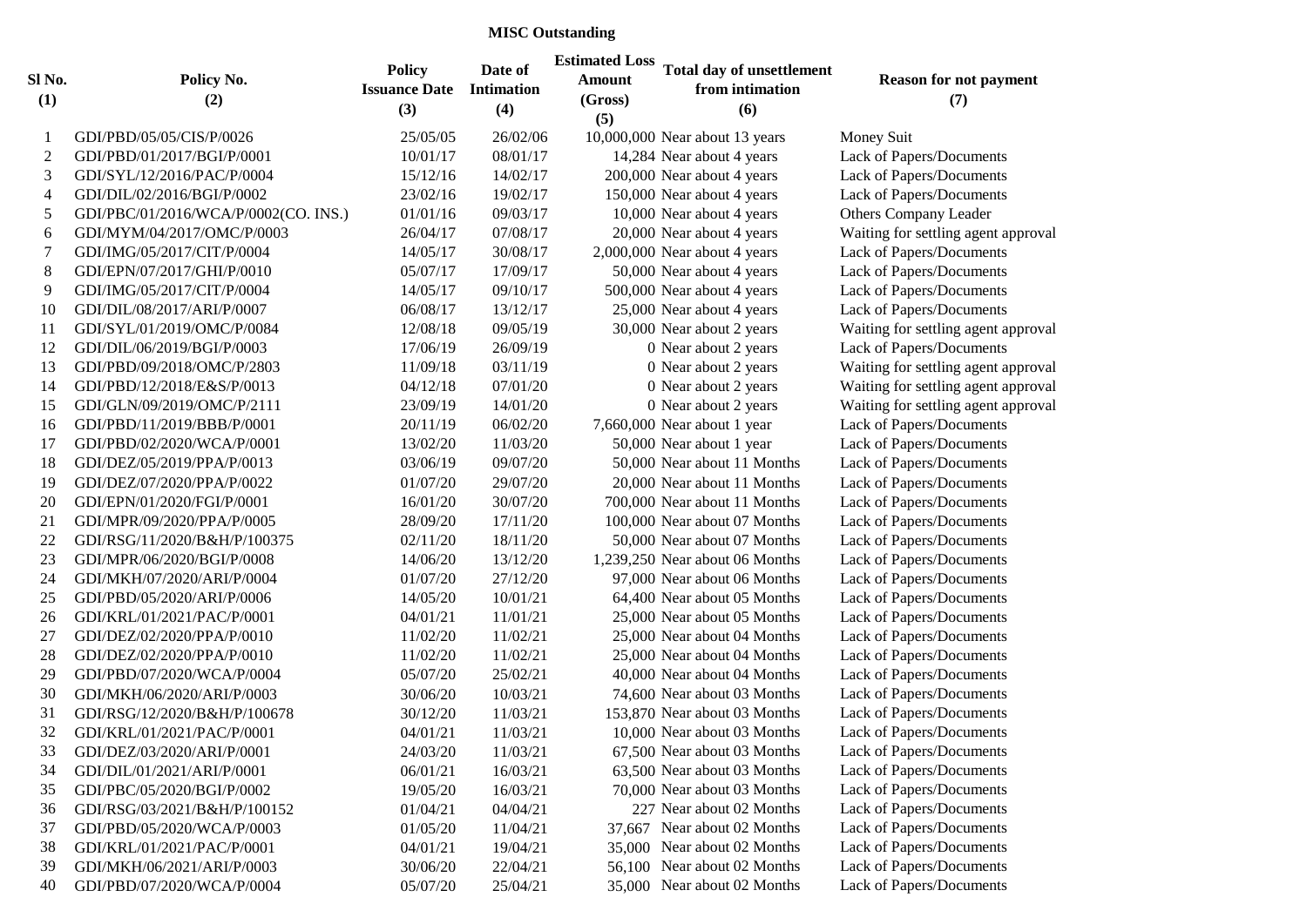## **MISC Outstanding**

| Sl No.<br>(1)  | Policy No.<br>(2)                    | <b>Policy</b><br><b>Issuance Date</b><br>(3) | Date of<br><b>Intimation</b><br>(4) | <b>Estimated Loss</b><br><b>Amount</b><br>(Gross)<br>(5) | <b>Total day of unsettlement</b><br>from intimation<br>(6) | <b>Reason for not payment</b><br>(7) |
|----------------|--------------------------------------|----------------------------------------------|-------------------------------------|----------------------------------------------------------|------------------------------------------------------------|--------------------------------------|
| 1              | GDI/PBD/05/05/CIS/P/0026             | 25/05/05                                     | 26/02/06                            |                                                          | 10,000,000 Near about 13 years                             | Money Suit                           |
| $\overline{c}$ | GDI/PBD/01/2017/BGI/P/0001           | 10/01/17                                     | 08/01/17                            |                                                          | 14,284 Near about 4 years                                  | Lack of Papers/Documents             |
| 3              | GDI/SYL/12/2016/PAC/P/0004           | 15/12/16                                     | 14/02/17                            |                                                          | 200,000 Near about 4 years                                 | Lack of Papers/Documents             |
| $\overline{4}$ | GDI/DIL/02/2016/BGI/P/0002           | 23/02/16                                     | 19/02/17                            |                                                          | 150,000 Near about 4 years                                 | Lack of Papers/Documents             |
| $\sqrt{5}$     | GDI/PBC/01/2016/WCA/P/0002(CO. INS.) | 01/01/16                                     | 09/03/17                            |                                                          | 10,000 Near about 4 years                                  | <b>Others Company Leader</b>         |
| 6              | GDI/MYM/04/2017/OMC/P/0003           | 26/04/17                                     | 07/08/17                            |                                                          | 20,000 Near about 4 years                                  | Waiting for settling agent approval  |
| $\tau$         | GDI/IMG/05/2017/CIT/P/0004           | 14/05/17                                     | 30/08/17                            |                                                          | 2,000,000 Near about 4 years                               | Lack of Papers/Documents             |
| $\,8\,$        | GDI/EPN/07/2017/GHI/P/0010           | 05/07/17                                     | 17/09/17                            |                                                          | 50,000 Near about 4 years                                  | Lack of Papers/Documents             |
| 9              | GDI/IMG/05/2017/CIT/P/0004           | 14/05/17                                     | 09/10/17                            |                                                          | 500,000 Near about 4 years                                 | Lack of Papers/Documents             |
| 10             | GDI/DIL/08/2017/ARI/P/0007           | 06/08/17                                     | 13/12/17                            |                                                          | 25,000 Near about 4 years                                  | Lack of Papers/Documents             |
| 11             | GDI/SYL/01/2019/OMC/P/0084           | 12/08/18                                     | 09/05/19                            |                                                          | 30,000 Near about 2 years                                  | Waiting for settling agent approval  |
| 12             | GDI/DIL/06/2019/BGI/P/0003           | 17/06/19                                     | 26/09/19                            |                                                          | 0 Near about 2 years                                       | Lack of Papers/Documents             |
| 13             | GDI/PBD/09/2018/OMC/P/2803           | 11/09/18                                     | 03/11/19                            |                                                          | 0 Near about 2 years                                       | Waiting for settling agent approval  |
| 14             | GDI/PBD/12/2018/E&S/P/0013           | 04/12/18                                     | 07/01/20                            |                                                          | 0 Near about 2 years                                       | Waiting for settling agent approval  |
| 15             | GDI/GLN/09/2019/OMC/P/2111           | 23/09/19                                     | 14/01/20                            |                                                          | 0 Near about 2 years                                       | Waiting for settling agent approval  |
| 16             | GDI/PBD/11/2019/BBB/P/0001           | 20/11/19                                     | 06/02/20                            |                                                          | 7,660,000 Near about 1 year                                | Lack of Papers/Documents             |
| 17             | GDI/PBD/02/2020/WCA/P/0001           | 13/02/20                                     | 11/03/20                            |                                                          | 50,000 Near about 1 year                                   | Lack of Papers/Documents             |
| 18             | GDI/DEZ/05/2019/PPA/P/0013           | 03/06/19                                     | 09/07/20                            |                                                          | 50,000 Near about 11 Months                                | Lack of Papers/Documents             |
| 19             | GDI/DEZ/07/2020/PPA/P/0022           | 01/07/20                                     | 29/07/20                            |                                                          | 20,000 Near about 11 Months                                | Lack of Papers/Documents             |
| 20             | GDI/EPN/01/2020/FGI/P/0001           | 16/01/20                                     | 30/07/20                            |                                                          | 700,000 Near about 11 Months                               | Lack of Papers/Documents             |
| 21             | GDI/MPR/09/2020/PPA/P/0005           | 28/09/20                                     | 17/11/20                            |                                                          | 100,000 Near about 07 Months                               | Lack of Papers/Documents             |
| 22             | GDI/RSG/11/2020/B&H/P/100375         | 02/11/20                                     | 18/11/20                            |                                                          | 50,000 Near about 07 Months                                | Lack of Papers/Documents             |
| 23             | GDI/MPR/06/2020/BGI/P/0008           | 14/06/20                                     | 13/12/20                            |                                                          | 1,239,250 Near about 06 Months                             | Lack of Papers/Documents             |
| 24             | GDI/MKH/07/2020/ARI/P/0004           | 01/07/20                                     | 27/12/20                            |                                                          | 97,000 Near about 06 Months                                | Lack of Papers/Documents             |
| 25             | GDI/PBD/05/2020/ARI/P/0006           | 14/05/20                                     | 10/01/21                            |                                                          | 64,400 Near about 05 Months                                | Lack of Papers/Documents             |
| 26             | GDI/KRL/01/2021/PAC/P/0001           | 04/01/21                                     | 11/01/21                            |                                                          | 25,000 Near about 05 Months                                | Lack of Papers/Documents             |
| 27             | GDI/DEZ/02/2020/PPA/P/0010           | 11/02/20                                     | 11/02/21                            |                                                          | 25,000 Near about 04 Months                                | Lack of Papers/Documents             |
| 28             | GDI/DEZ/02/2020/PPA/P/0010           | 11/02/20                                     | 11/02/21                            |                                                          | 25,000 Near about 04 Months                                | Lack of Papers/Documents             |
| 29             | GDI/PBD/07/2020/WCA/P/0004           | 05/07/20                                     | 25/02/21                            |                                                          | 40,000 Near about 04 Months                                | Lack of Papers/Documents             |
| 30             | GDI/MKH/06/2020/ARI/P/0003           | 30/06/20                                     | 10/03/21                            |                                                          | 74,600 Near about 03 Months                                | Lack of Papers/Documents             |
| 31             | GDI/RSG/12/2020/B&H/P/100678         | 30/12/20                                     | 11/03/21                            |                                                          | 153,870 Near about 03 Months                               | Lack of Papers/Documents             |
| 32             | GDI/KRL/01/2021/PAC/P/0001           | 04/01/21                                     | 11/03/21                            |                                                          | 10,000 Near about 03 Months                                | Lack of Papers/Documents             |
| 33             | GDI/DEZ/03/2020/ARI/P/0001           | 24/03/20                                     | 11/03/21                            |                                                          | 67,500 Near about 03 Months                                | Lack of Papers/Documents             |
| 34             | GDI/DIL/01/2021/ARI/P/0001           | 06/01/21                                     | 16/03/21                            |                                                          | 63,500 Near about 03 Months                                | Lack of Papers/Documents             |
| 35             | GDI/PBC/05/2020/BGI/P/0002           | 19/05/20                                     | 16/03/21                            |                                                          | 70,000 Near about 03 Months                                | Lack of Papers/Documents             |
| 36             | GDI/RSG/03/2021/B&H/P/100152         | 01/04/21                                     | 04/04/21                            |                                                          | 227 Near about 02 Months                                   | Lack of Papers/Documents             |
| 37             | GDI/PBD/05/2020/WCA/P/0003           | 01/05/20                                     | 11/04/21                            |                                                          | 37,667 Near about 02 Months                                | Lack of Papers/Documents             |
| 38             | GDI/KRL/01/2021/PAC/P/0001           | 04/01/21                                     | 19/04/21                            |                                                          | 35,000 Near about 02 Months                                | Lack of Papers/Documents             |
| 39             | GDI/MKH/06/2021/ARI/P/0003           | 30/06/20                                     | 22/04/21                            |                                                          | 56,100 Near about 02 Months                                | Lack of Papers/Documents             |
| 40             | GDI/PBD/07/2020/WCA/P/0004           | 05/07/20                                     | 25/04/21                            |                                                          | 35,000 Near about 02 Months                                | Lack of Papers/Documents             |